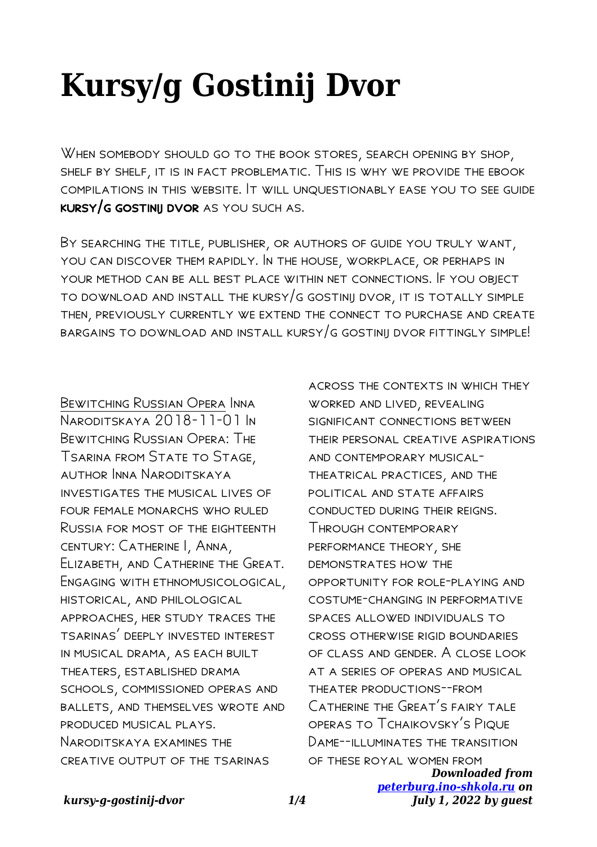## **Kursy/g Gostinij Dvor**

When somebody should go to the book stores, search opening by shop, shelf by shelf, it is in fact problematic. This is why we provide the ebook compilations in this website. It will unquestionably ease you to see guide kursy/g gostinij dvor as you such as.

By searching the title, publisher, or authors of guide you truly want, you can discover them rapidly. In the house, workplace, or perhaps in your method can be all best place within net connections. If you object to download and install the kursy/g gostinij dvor, it is totally simple then, previously currently we extend the connect to purchase and create bargains to download and install kursy/g gostinij dvor fittingly simple!

Bewitching Russian Opera Inna Naroditskaya 2018-11-01 In Bewitching Russian Opera: The Tsarina from State to Stage, author Inna Naroditskaya investigates the musical lives of four female monarchs who ruled Russia for most of the eighteenth century: Catherine I, Anna, Elizabeth, and Catherine the Great. Engaging with ethnomusicological, historical, and philological approaches, her study traces the tsarinas' deeply invested interest in musical drama, as each built theaters, established drama schools, commissioned operas and ballets, and themselves wrote and produced musical plays. Naroditskaya examines the creative output of the tsarinas

across the contexts in which they worked and lived, revealing SIGNIFICANT CONNECTIONS BETWEEN their personal creative aspirations and contemporary musicaltheatrical practices, and the political and state affairs conducted during their reigns. Through contemporary performance theory, she demonstrates how the opportunity for role-playing and costume-changing in performative spaces allowed individuals to cross otherwise rigid boundaries of class and gender. A close look at a series of operas and musical theater productions--from Catherine the Great's fairy tale operas to Tchaikovsky's Pique DAME--II LUMINATES THE TRANSITION of these royal women from

*Downloaded from [peterburg.ino-shkola.ru](http://peterburg.ino-shkola.ru) on July 1, 2022 by guest*

## *kursy-g-gostinij-dvor 1/4*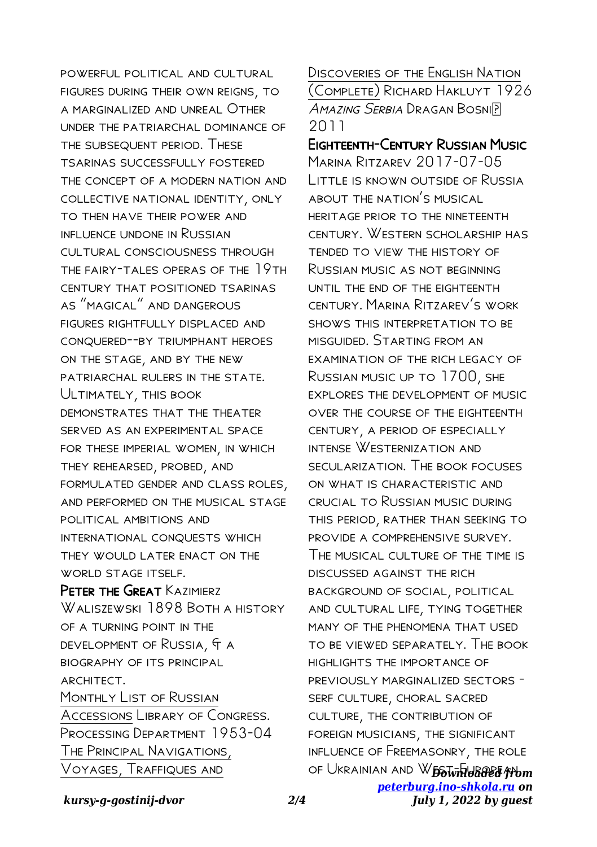powerful political and cultural figures during their own reigns, to a marginalized and unreal Other under the patriarchal dominance of the subsequent period. These tsarinas successfully fostered the concept of a modern nation and collective national identity, only to then have their power and influence undone in Russian cultural consciousness through the fairy-tales operas of the 19th century that positioned tsarinas as "magical" and dangerous figures rightfully displaced and conquered--by triumphant heroes on the stage, and by the new patriarchal rulers in the state. Ultimately, this book demonstrates that the theater served as an experimental space for these imperial women, in which they rehearsed, probed, and formulated gender and class roles, and performed on the musical stage political ambitions and international conquests which they would later enact on the WORLD STAGE ITSELF. PETER THE GREAT KAZIMIERZ

Waliszewski 1898 Both a history of a turning point in the development of Russia, & a biography of its principal ARCHITECT. Monthly List of Russian Accessions Library of Congress. Processing Department 1953-04 The Principal Navigations, Voyages, Traffiques and

Discoveries of the English Nation (Complete) Richard Hakluyt 1926 AMAZING SERBIA DRAGAN BOSNIP 2011

## Eighteenth-Century Russian Music

of Ukrainian and WEST From **Province** *[peterburg.ino-shkola.ru](http://peterburg.ino-shkola.ru) on* Marina Ritzarev 2017-07-05 Little is known outside of Russia about the nation's musical heritage prior to the nineteenth century. Western scholarship has tended to view the history of Russian music as not beginning until the end of the eighteenth century. Marina Ritzarev's work shows this interpretation to be misguided. Starting from an examination of the rich legacy of Russian music up to 1700, she explores the development of music over the course of the eighteenth century, a period of especially intense Westernization and SECULARIZATION. THE BOOK FOCUSES on what is characteristic and crucial to Russian music during this period, rather than seeking to provide a comprehensive survey. The musical culture of the time is discussed against the rich background of social, political and cultural life, tying together many of the phenomena that used to be viewed separately. The book highlights the importance of previously marginalized sectors serf culture, choral sacred culture, the contribution of foreign musicians, the significant influence of Freemasonry, the role

*kursy-g-gostinij-dvor 2/4*

*July 1, 2022 by guest*